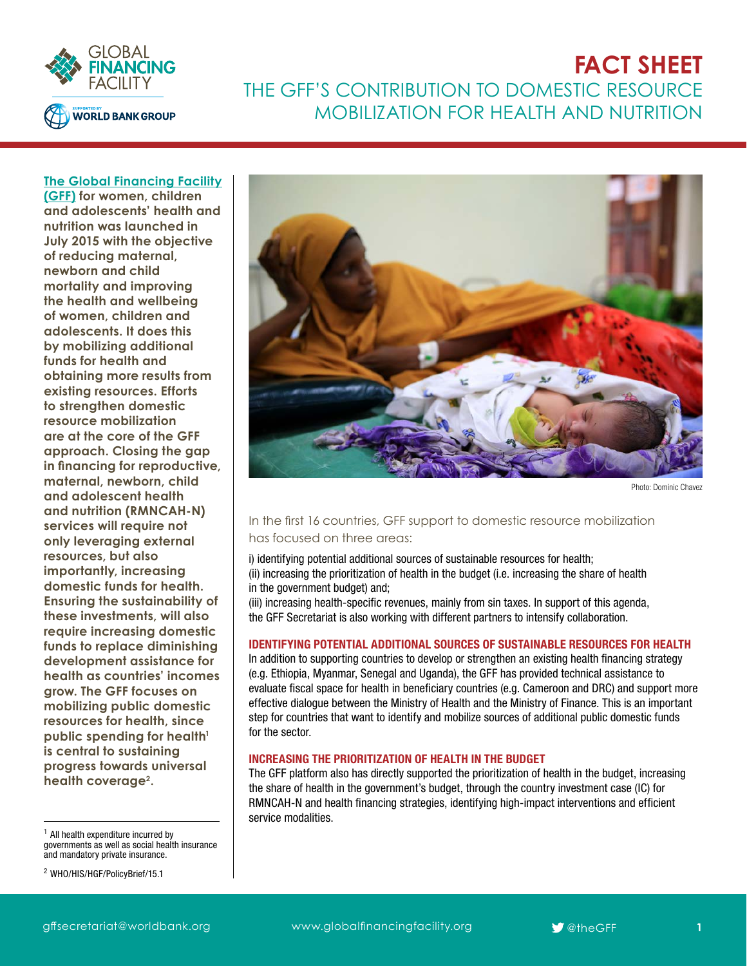

# **FACT SHEET** THE GFF'S CONTRIBUTION TO DOMESTIC RESOURCE MOBILIZATION FOR HEALTH AND NUTRITION

### **[The Global Financing Facility](https://www.globalfinancingfacility.org/)**

**[\(GFF\)](https://www.globalfinancingfacility.org/) for women, children and adolescents' health and nutrition was launched in July 2015 with the objective of reducing maternal, newborn and child mortality and improving the health and wellbeing of women, children and adolescents. It does this by mobilizing additional funds for health and obtaining more results from existing resources. Efforts to strengthen domestic resource mobilization are at the core of the GFF approach. Closing the gap in financing for reproductive, maternal, newborn, child and adolescent health and nutrition (RMNCAH-N) services will require not only leveraging external resources, but also importantly, increasing domestic funds for health. Ensuring the sustainability of these investments, will also require increasing domestic funds to replace diminishing development assistance for health as countries' incomes grow. The GFF focuses on mobilizing public domestic resources for health, since**  public spending for health<sup>1</sup> **is central to sustaining progress towards universal health coverage2.**

 $1$  All health expenditure incurred by governments as well as social health insurance and mandatory private insurance.

<sup>2</sup> [WHO/HIS/HGF/PolicyBrief/15.1](http://apps.who.int/iris/bitstream/10665/192280/1/WHO_HIS_HGF_PolicyBrief_15.1_eng.pdf?ua=1)



Photo: Dominic Chavez

### In the first 16 countries, GFF support to domestic resource mobilization has focused on three areas:

i) identifying potential additional sources of sustainable resources for health; (ii) increasing the prioritization of health in the budget (i.e. increasing the share of health in the government budget) and;

(iii) increasing health-specific revenues, mainly from sin taxes. In support of this agenda, the GFF Secretariat is also working with different partners to intensify collaboration.

#### IDENTIFYING POTENTIAL ADDITIONAL SOURCES OF SUSTAINABLE RESOURCES FOR HEALTH

In addition to supporting countries to develop or strengthen an existing health financing strategy (e.g. Ethiopia, Myanmar, Senegal and Uganda), the GFF has provided technical assistance to evaluate fiscal space for health in beneficiary countries (e.g. Cameroon and DRC) and support more effective dialogue between the Ministry of Health and the Ministry of Finance. This is an important step for countries that want to identify and mobilize sources of additional public domestic funds for the sector.

### INCREASING THE PRIORITIZATION OF HEALTH IN THE BUDGET

The GFF platform also has directly supported the prioritization of health in the budget, increasing the share of health in the government's budget, through the country investment case (IC) for RMNCAH-N and health financing strategies, identifying high-impact interventions and efficient service modalities.

[gffsecretariat@worldbank.org](mailto:gffsecretariat%40worldbank.org?subject=) www.globalfinancingfacility.org **9**<sup>6</sup> [@theGFF](https://twitter.com/search?q=%40theGFF&src=typd)

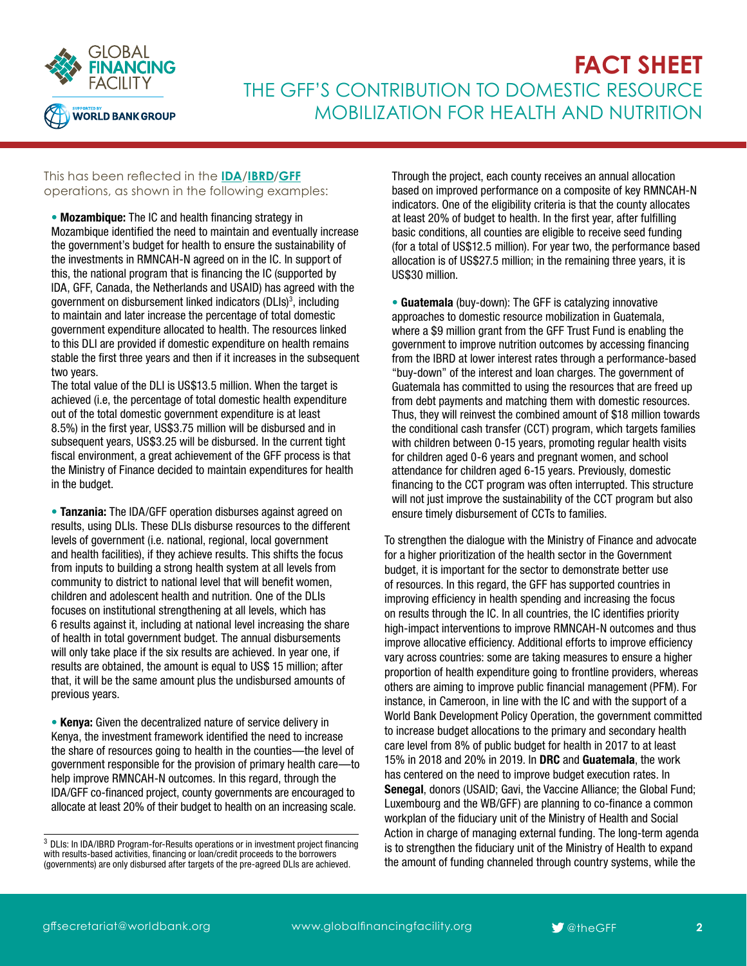

# **FACT SHEET** THE GFF'S CONTRIBUTION TO DOMESTIC RESOURCE MOBILIZATION FOR HEALTH AND NUTRITION

### This has been reflected in the **[IDA](http://ida.worldbank.org/)**/**[IBRD](http://www.worldbank.org/en/who-we-are/ibrd)**/**[GFF](https://www.globalfinancingfacility.org/)** operations, as shown in the following examples:

• Mozambique: The IC and health financing strategy in Mozambique identified the need to maintain and eventually increase the government's budget for health to ensure the sustainability of the investments in RMNCAH-N agreed on in the IC. In support of this, the national program that is financing the IC (supported by IDA, GFF, Canada, the Netherlands and USAID) has agreed with the government on disbursement linked indicators (DLIs)<sup>3</sup>, including to maintain and later increase the percentage of total domestic government expenditure allocated to health. The resources linked to this DLI are provided if domestic expenditure on health remains stable the first three years and then if it increases in the subsequent two years.

The total value of the DLI is US\$13.5 million. When the target is achieved (i.e, the percentage of total domestic health expenditure out of the total domestic government expenditure is at least 8.5%) in the first year, US\$3.75 million will be disbursed and in subsequent years, US\$3.25 will be disbursed. In the current tight fiscal environment, a great achievement of the GFF process is that the Ministry of Finance decided to maintain expenditures for health in the budget.

• Tanzania: The IDA/GFF operation disburses against agreed on results, using DLIs. These DLIs disburse resources to the different levels of government (i.e. national, regional, local government and health facilities), if they achieve results. This shifts the focus from inputs to building a strong health system at all levels from community to district to national level that will benefit women, children and adolescent health and nutrition. One of the DLIs focuses on institutional strengthening at all levels, which has 6 results against it, including at national level increasing the share of health in total government budget. The annual disbursements will only take place if the six results are achieved. In year one, if results are obtained, the amount is equal to US\$ 15 million; after that, it will be the same amount plus the undisbursed amounts of previous years.

• Kenya: Given the decentralized nature of service delivery in Kenya, the investment framework identified the need to increase the share of resources going to health in the counties—the level of government responsible for the provision of primary health care—to help improve RMNCAH-N outcomes. In this regard, through the IDA/GFF co-financed project, county governments are encouraged to allocate at least 20% of their budget to health on an increasing scale.

Through the project, each county receives an annual allocation based on improved performance on a composite of key RMNCAH-N indicators. One of the eligibility criteria is that the county allocates at least 20% of budget to health. In the first year, after fulfilling basic conditions, all counties are eligible to receive seed funding (for a total of US\$12.5 million). For year two, the performance based allocation is of US\$27.5 million; in the remaining three years, it is US\$30 million.

• Guatemala (buy-down): The GFF is catalyzing innovative approaches to domestic resource mobilization in Guatemala, where a \$9 million grant from the GFF Trust Fund is enabling the government to improve nutrition outcomes by accessing financing from the IBRD at lower interest rates through a performance-based "buy-down" of the interest and loan charges. The government of Guatemala has committed to using the resources that are freed up from debt payments and matching them with domestic resources. Thus, they will reinvest the combined amount of \$18 million towards the conditional cash transfer (CCT) program, which targets families with children between 0-15 years, promoting regular health visits for children aged 0-6 years and pregnant women, and school attendance for children aged 6-15 years. Previously, domestic financing to the CCT program was often interrupted. This structure will not just improve the sustainability of the CCT program but also ensure timely disbursement of CCTs to families.

To strengthen the dialogue with the Ministry of Finance and advocate for a higher prioritization of the health sector in the Government budget, it is important for the sector to demonstrate better use of resources. In this regard, the GFF has supported countries in improving efficiency in health spending and increasing the focus on results through the IC. In all countries, the IC identifies priority high-impact interventions to improve RMNCAH-N outcomes and thus improve allocative efficiency. Additional efforts to improve efficiency vary across countries: some are taking measures to ensure a higher proportion of health expenditure going to frontline providers, whereas others are aiming to improve public financial management (PFM). For instance, in Cameroon, in line with the IC and with the support of a World Bank Development Policy Operation, the government committed to increase budget allocations to the primary and secondary health care level from 8% of public budget for health in 2017 to at least 15% in 2018 and 20% in 2019. In DRC and Guatemala, the work has centered on the need to improve budget execution rates. In Senegal, donors (USAID; Gavi, the Vaccine Alliance; the Global Fund; Luxembourg and the WB/GFF) are planning to co-finance a common workplan of the fiduciary unit of the Ministry of Health and Social Action in charge of managing external funding. The long-term agenda is to strengthen the fiduciary unit of the Ministry of Health to expand the amount of funding channeled through country systems, while the

<sup>&</sup>lt;sup>3</sup> DLIs: In IDA/IBRD Program-for-Results operations or in investment project financing with results-based activities, financing or loan/credit proceeds to the borrowers (governments) are only disbursed after targets of the pre-agreed DLIs are achieved.